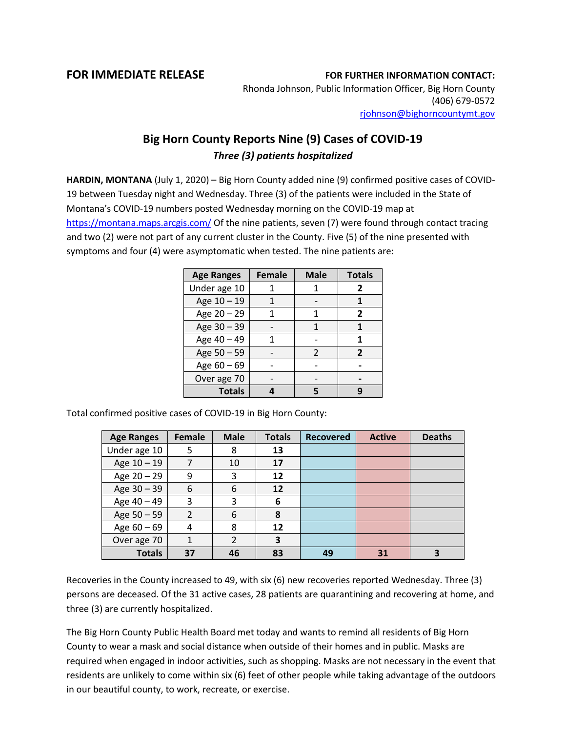## **FOR IMMEDIATE RELEASE FOR FURTHER INFORMATION CONTACT:**

Rhonda Johnson, Public Information Officer, Big Horn County (406) 679-0572 [rjohnson@bighorncountymt.gov](mailto:rjohnson@bighorncountymt.gov)

## **Big Horn County Reports Nine (9) Cases of COVID-19** *Three (3) patients hospitalized*

**HARDIN, MONTANA** (July 1, 2020) – Big Horn County added nine (9) confirmed positive cases of COVID-19 between Tuesday night and Wednesday. Three (3) of the patients were included in the State of Montana's COVID-19 numbers posted Wednesday morning on the COVID-19 map at <https://montana.maps.arcgis.com/> Of the nine patients, seven (7) were found through contact tracing and two (2) were not part of any current cluster in the County. Five (5) of the nine presented with symptoms and four (4) were asymptomatic when tested. The nine patients are:

| <b>Age Ranges</b> | <b>Female</b> | <b>Male</b> | <b>Totals</b>  |  |
|-------------------|---------------|-------------|----------------|--|
| Under age 10      |               |             | 2              |  |
| Age 10 - 19       |               |             |                |  |
| Age 20 - 29       |               | 1           | 2              |  |
| Age 30 - 39       |               |             |                |  |
| Age 40 - 49       |               |             | 1              |  |
| Age 50 - 59       |               | 2           | $\overline{2}$ |  |
| Age $60 - 69$     |               |             |                |  |
| Over age 70       |               |             |                |  |
| <b>Totals</b>     |               |             |                |  |

Total confirmed positive cases of COVID-19 in Big Horn County:

| <b>Age Ranges</b> | Female         | <b>Male</b> | <b>Totals</b> | <b>Recovered</b> | <b>Active</b> | <b>Deaths</b> |
|-------------------|----------------|-------------|---------------|------------------|---------------|---------------|
| Under age 10      | 5              | 8           | 13            |                  |               |               |
| Age 10 - 19       | 7              | 10          | 17            |                  |               |               |
| Age 20 - 29       | 9              | 3           | 12            |                  |               |               |
| Age 30 - 39       | 6              | 6           | 12            |                  |               |               |
| Age 40 - 49       | 3              | 3           | 6             |                  |               |               |
| Age 50 - 59       | $\overline{2}$ | 6           | 8             |                  |               |               |
| Age $60 - 69$     | 4              | 8           | 12            |                  |               |               |
| Over age 70       |                | 2           | 3             |                  |               |               |
| <b>Totals</b>     | 37             | 46          | 83            | 49               | 31            |               |

Recoveries in the County increased to 49, with six (6) new recoveries reported Wednesday. Three (3) persons are deceased. Of the 31 active cases, 28 patients are quarantining and recovering at home, and three (3) are currently hospitalized.

The Big Horn County Public Health Board met today and wants to remind all residents of Big Horn County to wear a mask and social distance when outside of their homes and in public. Masks are required when engaged in indoor activities, such as shopping. Masks are not necessary in the event that residents are unlikely to come within six (6) feet of other people while taking advantage of the outdoors in our beautiful county, to work, recreate, or exercise.